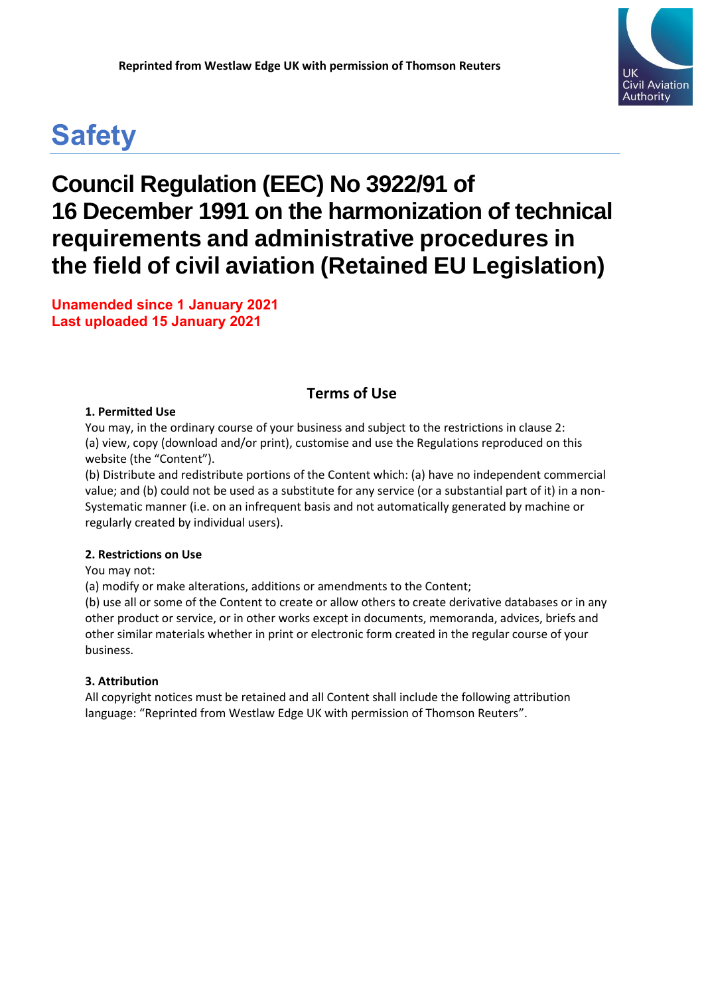# **Safety**

## **Council Regulation (EEC) No 3922/91 of 16 December 1991 on the harmonization of technical requirements and administrative procedures in the field of civil aviation (Retained EU Legislation)**

**Unamended since 1 January 2021 Last uploaded 15 January 2021**

## **Terms of Use**

#### **1. Permitted Use**

You may, in the ordinary course of your business and subject to the restrictions in clause 2: (a) view, copy (download and/or print), customise and use the Regulations reproduced on this website (the "Content").

(b) Distribute and redistribute portions of the Content which: (a) have no independent commercial value; and (b) could not be used as a substitute for any service (or a substantial part of it) in a non-Systematic manner (i.e. on an infrequent basis and not automatically generated by machine or regularly created by individual users).

#### **2. Restrictions on Use**

You may not:

(a) modify or make alterations, additions or amendments to the Content;

(b) use all or some of the Content to create or allow others to create derivative databases or in any other product or service, or in other works except in documents, memoranda, advices, briefs and other similar materials whether in print or electronic form created in the regular course of your business.

#### **3. Attribution**

All copyright notices must be retained and all Content shall include the following attribution language: "Reprinted from Westlaw Edge UK with permission of Thomson Reuters".

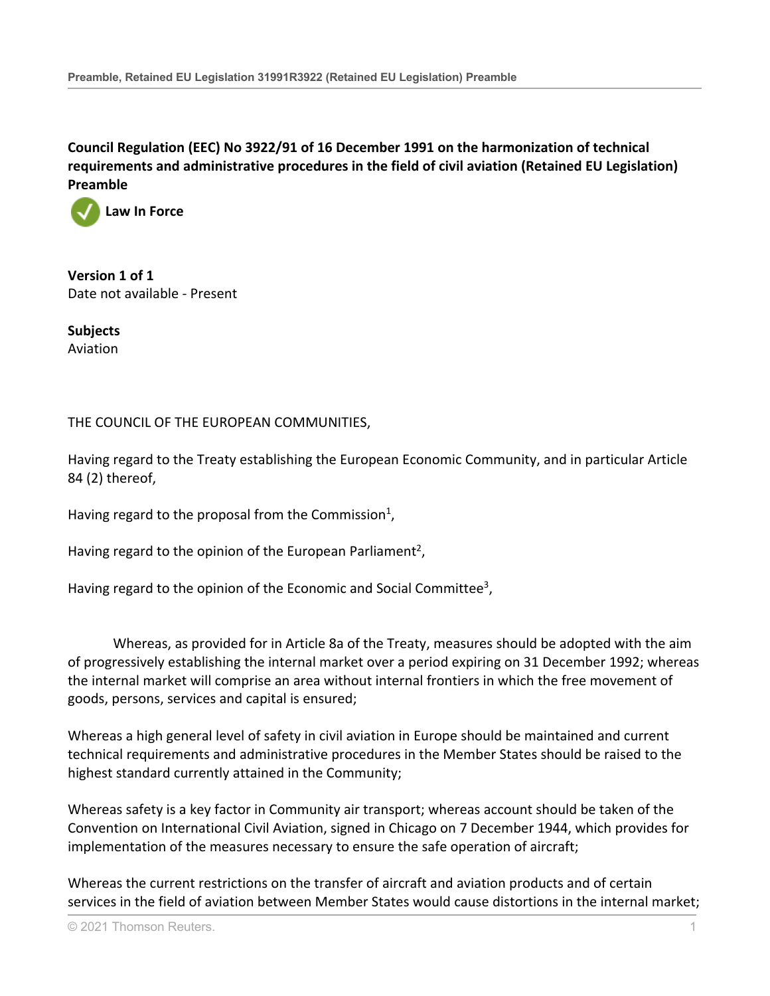

**Version 1 of 1** Date not available - Present

**Subjects** Aviation

#### THE COUNCIL OF THE EUROPEAN COMMUNITIES,

Having regard to the Treaty establishing the European Economic Community, and in particular Article 84 (2) thereof,

Having regard to the proposal from the Commission<sup>1</sup>,

Having regard to the opinion of the European Parliament<sup>2</sup>,

Having regard to the opinion of the Economic and Social Committee<sup>3</sup>,

Whereas, as provided for in Article 8a of the Treaty, measures should be adopted with the aim of progressively establishing the internal market over a period expiring on 31 December 1992; whereas the internal market will comprise an area without internal frontiers in which the free movement of goods, persons, services and capital is ensured;

Whereas a high general level of safety in civil aviation in Europe should be maintained and current technical requirements and administrative procedures in the Member States should be raised to the highest standard currently attained in the Community;

Whereas safety is a key factor in Community air transport; whereas account should be taken of the Convention on International Civil Aviation, signed in Chicago on 7 December 1944, which provides for implementation of the measures necessary to ensure the safe operation of aircraft;

Whereas the current restrictions on the transfer of aircraft and aviation products and of certain services in the field of aviation between Member States would cause distortions in the internal market;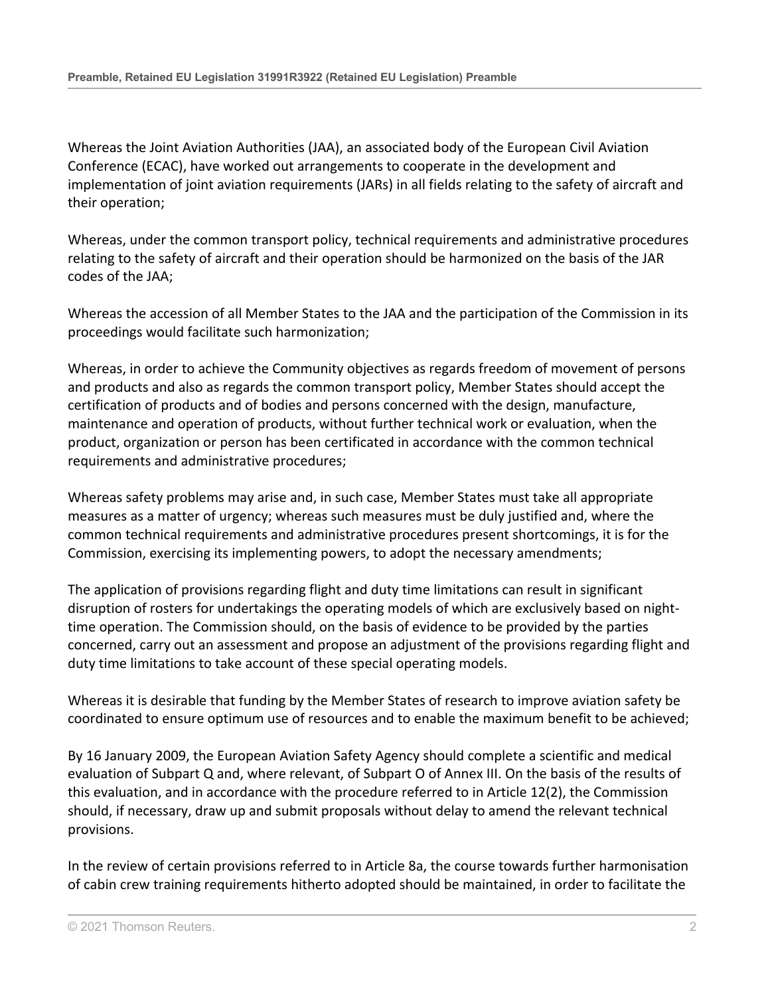Whereas the Joint Aviation Authorities (JAA), an associated body of the European Civil Aviation Conference (ECAC), have worked out arrangements to cooperate in the development and implementation of joint aviation requirements (JARs) in all fields relating to the safety of aircraft and their operation;

Whereas, under the common transport policy, technical requirements and administrative procedures relating to the safety of aircraft and their operation should be harmonized on the basis of the JAR codes of the JAA;

Whereas the accession of all Member States to the JAA and the participation of the Commission in its proceedings would facilitate such harmonization;

Whereas, in order to achieve the Community objectives as regards freedom of movement of persons and products and also as regards the common transport policy, Member States should accept the certification of products and of bodies and persons concerned with the design, manufacture, maintenance and operation of products, without further technical work or evaluation, when the product, organization or person has been certificated in accordance with the common technical requirements and administrative procedures;

Whereas safety problems may arise and, in such case, Member States must take all appropriate measures as a matter of urgency; whereas such measures must be duly justified and, where the common technical requirements and administrative procedures present shortcomings, it is for the Commission, exercising its implementing powers, to adopt the necessary amendments;

The application of provisions regarding flight and duty time limitations can result in significant disruption of rosters for undertakings the operating models of which are exclusively based on nighttime operation. The Commission should, on the basis of evidence to be provided by the parties concerned, carry out an assessment and propose an adjustment of the provisions regarding flight and duty time limitations to take account of these special operating models.

Whereas it is desirable that funding by the Member States of research to improve aviation safety be coordinated to ensure optimum use of resources and to enable the maximum benefit to be achieved;

By 16 January 2009, the European Aviation Safety Agency should complete a scientific and medical evaluation of Subpart Q and, where relevant, of Subpart O of Annex III. On the basis of the results of this evaluation, and in accordance with the procedure referred to in Article 12(2), the Commission should, if necessary, draw up and submit proposals without delay to amend the relevant technical provisions.

In the review of certain provisions referred to in Article 8a, the course towards further harmonisation of cabin crew training requirements hitherto adopted should be maintained, in order to facilitate the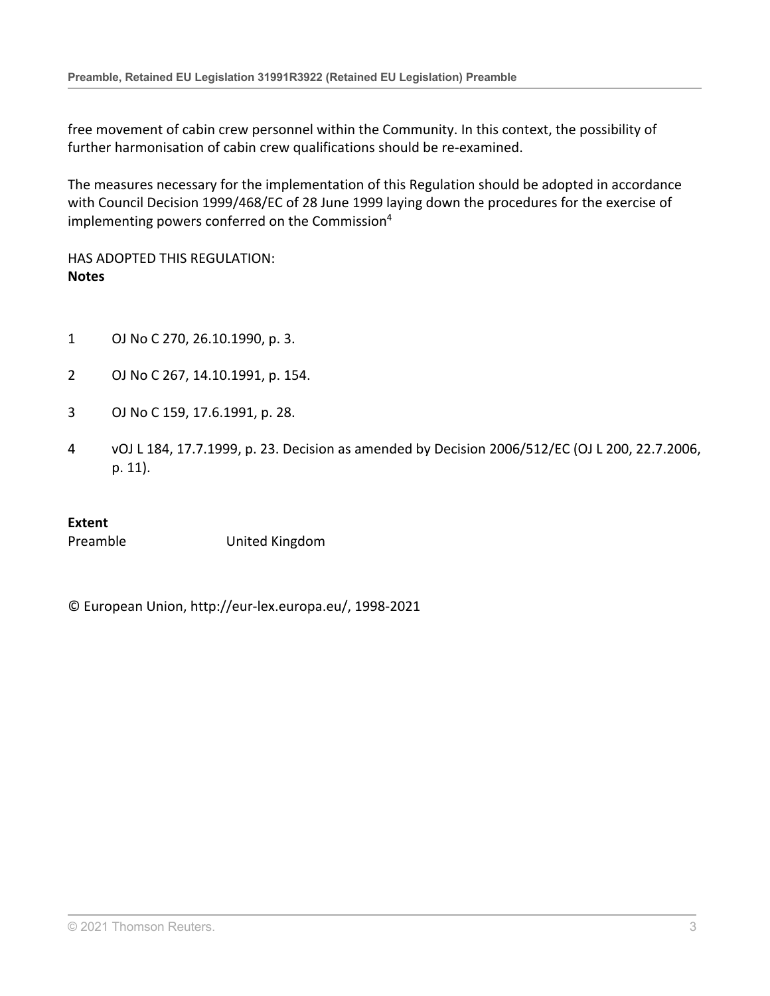free movement of cabin crew personnel within the Community. In this context, the possibility of further harmonisation of cabin crew qualifications should be re-examined.

The measures necessary for the implementation of this Regulation should be adopted in accordance with Council Decision 1999/468/EC of 28 June 1999 laying down the procedures for the exercise of implementing powers conferred on the Commission<sup>4</sup>

HAS ADOPTED THIS REGULATION: **Notes**

- 1 OJ No C 270, 26.10.1990, p. 3.
- 2 OJ No C 267, 14.10.1991, p. 154.
- 3 OJ No C 159, 17.6.1991, p. 28.
- 4 vOJ L 184, 17.7.1999, p. 23. Decision as amended by Decision 2006/512/EC (OJ L 200, 22.7.2006, p. 11).

#### **Extent**

Preamble United Kingdom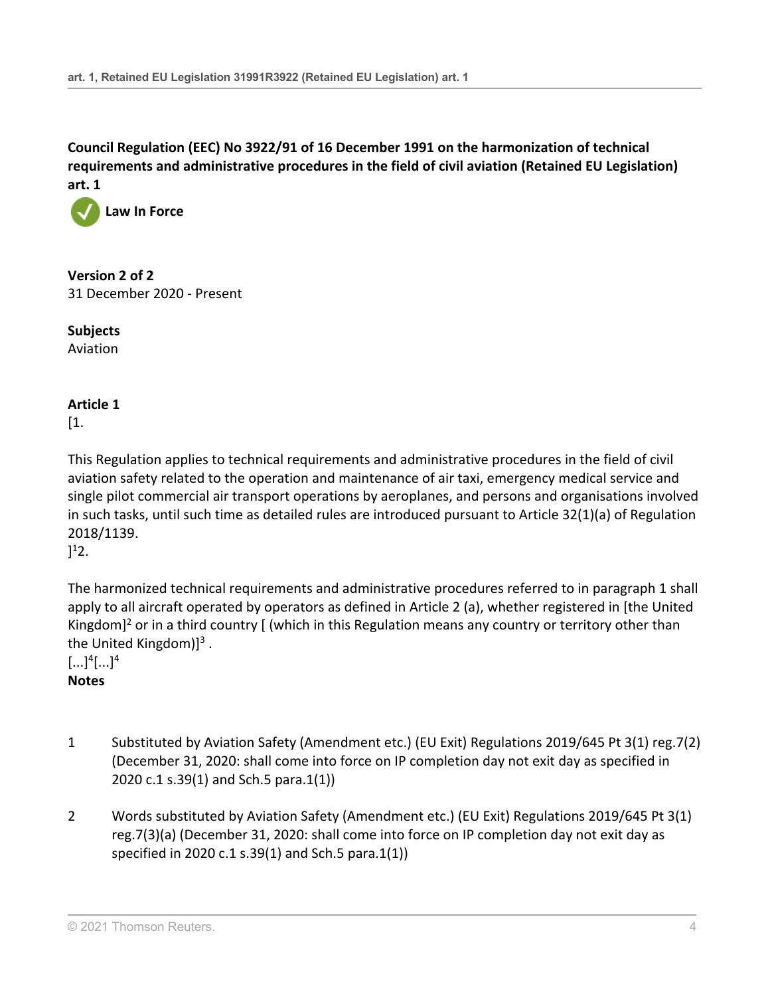

**Version 2 of 2** 31 December 2020 - Present

**Subjects** Aviation

## **Article 1**

[1.

This Regulation applies to technical requirements and administrative procedures in the field of civil aviation safety related to the operation and maintenance of air taxi, emergency medical service and single pilot commercial air transport operations by aeroplanes, and persons and organisations involved in such tasks, until such time as detailed rules are introduced pursuant to [Article 32\(1\)\(a\)](http://uk.westlaw.com/Document/IC22D22C0F4C611E886D8B0F95A90D26B/View/FullText.html?originationContext=document&transitionType=DocumentItem&vr=3.0&rs=PLUK1.0&contextData=(sc.Search)) of [Regulation](http://uk.westlaw.com/Document/I396D3380F4C611E8B1DF9A6C81E44808/View/FullText.html?originationContext=document&transitionType=DocumentItem&vr=3.0&rs=PLUK1.0&contextData=(sc.Search)) [2018/1139](http://uk.westlaw.com/Document/I396D3380F4C611E8B1DF9A6C81E44808/View/FullText.html?originationContext=document&transitionType=DocumentItem&vr=3.0&rs=PLUK1.0&contextData=(sc.Search)).

 $]^{1}2.$ 

The harmonized technical requirements and administrative procedures referred to in paragraph 1 shall apply to all aircraft operated by operators as defined in Article 2 (a), whether registered in [the United Kingdom]<sup>2</sup> or in a third country [ (which in this Regulation means any country or territory other than the United Kingdom) $]^{3}$ .

 $[...]^4[...]^4$ 

**Notes**

- 1 Substituted by Aviation Safety (Amendment etc.) (EU Exit) Regulations 2019/645 [Pt 3\(1\) reg.7\(2\)](http://uk.westlaw.com/Document/IDAB3C3504D2A11E9A853EC4C52A964EE/View/FullText.html?originationContext=document&transitionType=DocumentItem&vr=3.0&rs=PLUK1.0&contextData=(sc.Search)) (December 31, 2020: shall come into force on IP completion day not exit day as specified in 2020 c.1 s.39(1) and Sch.5 para.1(1))
- 2 Words substituted by Aviation Safety (Amendment etc.) (EU Exit) Regulations 2019/645 [Pt 3\(1\)](http://uk.westlaw.com/Document/IDAB3C3504D2A11E9A853EC4C52A964EE/View/FullText.html?originationContext=document&transitionType=DocumentItem&vr=3.0&rs=PLUK1.0&contextData=(sc.Search)) [reg.7\(3\)\(a\)](http://uk.westlaw.com/Document/IDAB3C3504D2A11E9A853EC4C52A964EE/View/FullText.html?originationContext=document&transitionType=DocumentItem&vr=3.0&rs=PLUK1.0&contextData=(sc.Search)) (December 31, 2020: shall come into force on IP completion day not exit day as specified in 2020 c.1 s.39(1) and Sch.5 para.1(1))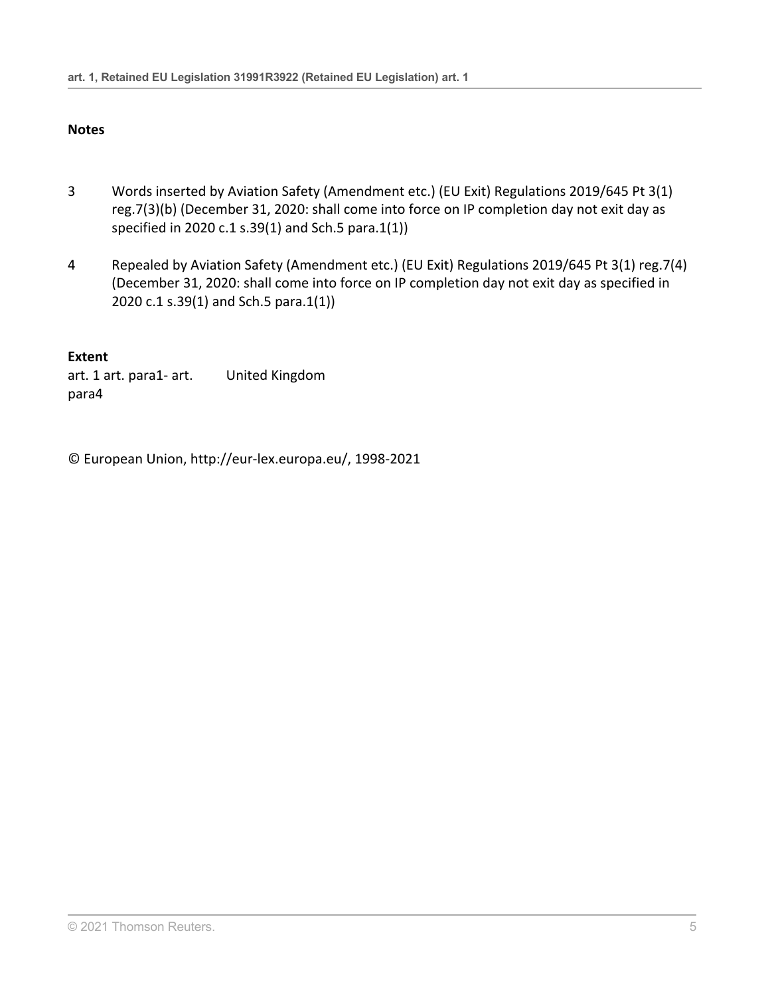## **Notes**

- 3 Words inserted by Aviation Safety (Amendment etc.) (EU Exit) Regulations 2019/645 [Pt 3\(1\)](http://uk.westlaw.com/Document/IDAB3C3504D2A11E9A853EC4C52A964EE/View/FullText.html?originationContext=document&transitionType=DocumentItem&vr=3.0&rs=PLUK1.0&contextData=(sc.Search)) [reg.7\(3\)\(b\)](http://uk.westlaw.com/Document/IDAB3C3504D2A11E9A853EC4C52A964EE/View/FullText.html?originationContext=document&transitionType=DocumentItem&vr=3.0&rs=PLUK1.0&contextData=(sc.Search)) (December 31, 2020: shall come into force on IP completion day not exit day as specified in 2020 c.1 s.39(1) and Sch.5 para.1(1))
- 4 Repealed by Aviation Safety (Amendment etc.) (EU Exit) Regulations 2019/645 [Pt 3\(1\) reg.7\(4\)](http://uk.westlaw.com/Document/IDAB3C3504D2A11E9A853EC4C52A964EE/View/FullText.html?originationContext=document&transitionType=DocumentItem&vr=3.0&rs=PLUK1.0&contextData=(sc.Search)) (December 31, 2020: shall come into force on IP completion day not exit day as specified in 2020 c.1 s.39(1) and Sch.5 para.1(1))

## **Extent**

art. 1 art. para1- art. para4 United Kingdom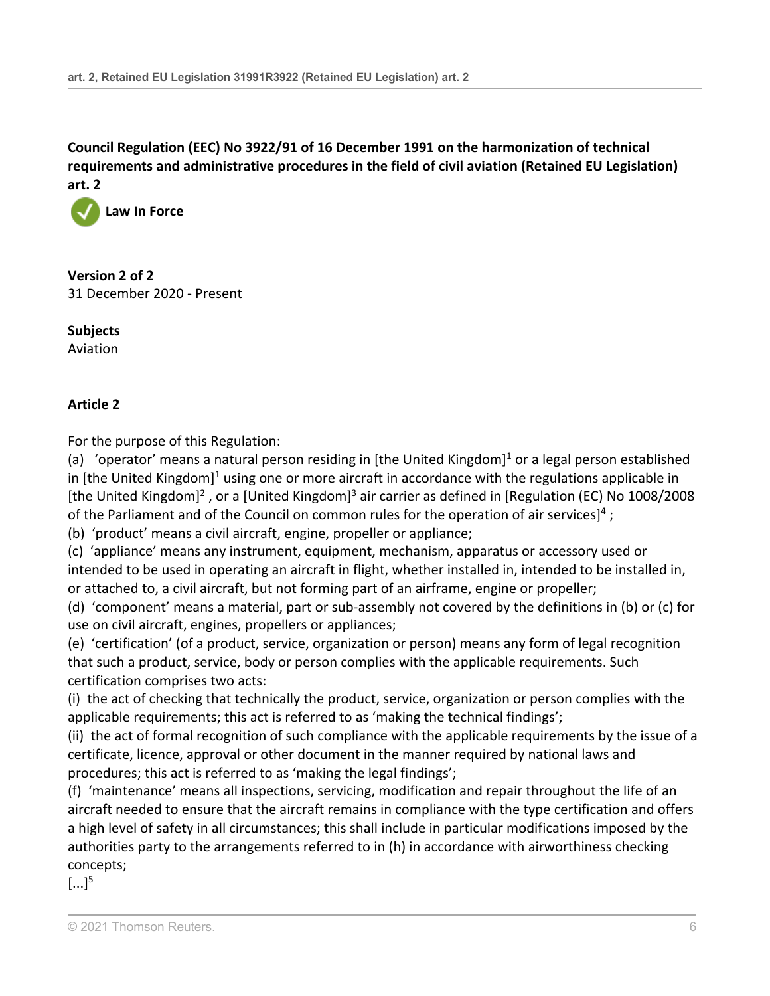

**Version 2 of 2** 31 December 2020 - Present

**Subjects** Aviation

## **Article 2**

For the purpose of this Regulation:

(a) 'operator' means a natural person residing in [the United Kingdom]<sup>1</sup> or a legal person established in [the United Kingdom]<sup>1</sup> using one or more aircraft in accordance with the regulations applicable in [the United Kingdom]<sup>2</sup>, or a [United Kingdom]<sup>3</sup> air carrier as defined in [\[Regulation \(EC\) No 1008/2008](http://uk.westlaw.com/Document/IE961F450D35211E889CDB353CDC9A5D8/View/FullText.html?originationContext=document&transitionType=DocumentItem&vr=3.0&rs=PLUK1.0&contextData=(sc.Search)) of the Parliament and of the Council on common rules for the operation of air services]<sup>4</sup>;

(b) 'product' means a civil aircraft, engine, propeller or appliance;

(c) 'appliance' means any instrument, equipment, mechanism, apparatus or accessory used or intended to be used in operating an aircraft in flight, whether installed in, intended to be installed in, or attached to, a civil aircraft, but not forming part of an airframe, engine or propeller;

(d) 'component' means a material, part or sub-assembly not covered by the definitions in (b) or (c) for use on civil aircraft, engines, propellers or appliances;

(e) 'certification' (of a product, service, organization or person) means any form of legal recognition that such a product, service, body or person complies with the applicable requirements. Such certification comprises two acts:

(i) the act of checking that technically the product, service, organization or person complies with the applicable requirements; this act is referred to as 'making the technical findings';

(ii) the act of formal recognition of such compliance with the applicable requirements by the issue of a certificate, licence, approval or other document in the manner required by national laws and procedures; this act is referred to as 'making the legal findings';

(f) 'maintenance' means all inspections, servicing, modification and repair throughout the life of an aircraft needed to ensure that the aircraft remains in compliance with the type certification and offers a high level of safety in all circumstances; this shall include in particular modifications imposed by the authorities party to the arrangements referred to in (h) in accordance with airworthiness checking concepts;

 $\left[ \ldots \right]^{5}$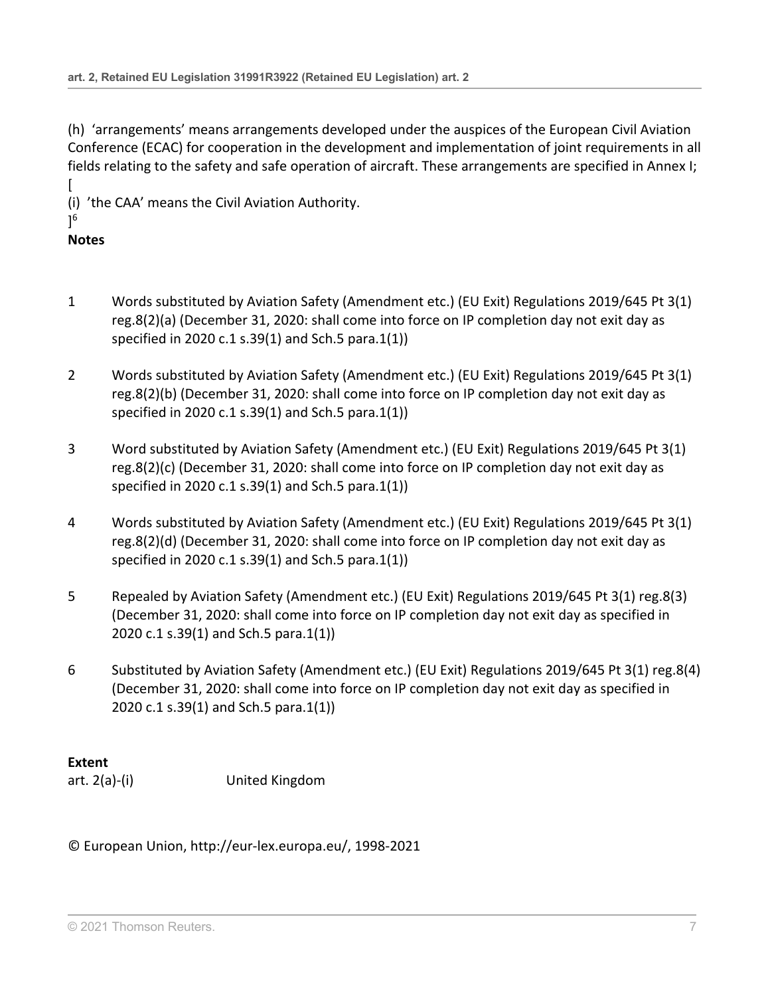(h) 'arrangements' means arrangements developed under the auspices of the European Civil Aviation Conference (ECAC) for cooperation in the development and implementation of joint requirements in all fields relating to the safety and safe operation of aircraft. These arrangements are specified in Annex I; [

(i) 'the CAA' means the Civil Aviation Authority.

## ] 6

## **Notes**

- 1 Words substituted by Aviation Safety (Amendment etc.) (EU Exit) Regulations 2019/645 [Pt 3\(1\)](http://uk.westlaw.com/Document/ID6316F804D2A11E9A853EC4C52A964EE/View/FullText.html?originationContext=document&transitionType=DocumentItem&vr=3.0&rs=PLUK1.0&contextData=(sc.Search)) [reg.8\(2\)\(a\)](http://uk.westlaw.com/Document/ID6316F804D2A11E9A853EC4C52A964EE/View/FullText.html?originationContext=document&transitionType=DocumentItem&vr=3.0&rs=PLUK1.0&contextData=(sc.Search)) (December 31, 2020: shall come into force on IP completion day not exit day as specified in 2020 c.1 s.39(1) and Sch.5 para.1(1))
- 2 Words substituted by Aviation Safety (Amendment etc.) (EU Exit) Regulations 2019/645 [Pt 3\(1\)](http://uk.westlaw.com/Document/ID6316F804D2A11E9A853EC4C52A964EE/View/FullText.html?originationContext=document&transitionType=DocumentItem&vr=3.0&rs=PLUK1.0&contextData=(sc.Search)) [reg.8\(2\)\(b\)](http://uk.westlaw.com/Document/ID6316F804D2A11E9A853EC4C52A964EE/View/FullText.html?originationContext=document&transitionType=DocumentItem&vr=3.0&rs=PLUK1.0&contextData=(sc.Search)) (December 31, 2020: shall come into force on IP completion day not exit day as specified in 2020 c.1 s.39(1) and Sch.5 para.1(1))
- 3 Word substituted by Aviation Safety (Amendment etc.) (EU Exit) Regulations 2019/645 [Pt 3\(1\)](http://uk.westlaw.com/Document/ID6316F804D2A11E9A853EC4C52A964EE/View/FullText.html?originationContext=document&transitionType=DocumentItem&vr=3.0&rs=PLUK1.0&contextData=(sc.Search)) [reg.8\(2\)\(c\)](http://uk.westlaw.com/Document/ID6316F804D2A11E9A853EC4C52A964EE/View/FullText.html?originationContext=document&transitionType=DocumentItem&vr=3.0&rs=PLUK1.0&contextData=(sc.Search)) (December 31, 2020: shall come into force on IP completion day not exit day as specified in 2020 c.1 s.39(1) and Sch.5 para.1(1))
- 4 Words substituted by Aviation Safety (Amendment etc.) (EU Exit) Regulations 2019/645 [Pt 3\(1\)](http://uk.westlaw.com/Document/ID6316F804D2A11E9A853EC4C52A964EE/View/FullText.html?originationContext=document&transitionType=DocumentItem&vr=3.0&rs=PLUK1.0&contextData=(sc.Search)) [reg.8\(2\)\(d\)](http://uk.westlaw.com/Document/ID6316F804D2A11E9A853EC4C52A964EE/View/FullText.html?originationContext=document&transitionType=DocumentItem&vr=3.0&rs=PLUK1.0&contextData=(sc.Search)) (December 31, 2020: shall come into force on IP completion day not exit day as specified in 2020 c.1 s.39(1) and Sch.5 para.1(1))
- 5 Repealed by Aviation Safety (Amendment etc.) (EU Exit) Regulations 2019/645 [Pt 3\(1\) reg.8\(3\)](http://uk.westlaw.com/Document/ID6316F804D2A11E9A853EC4C52A964EE/View/FullText.html?originationContext=document&transitionType=DocumentItem&vr=3.0&rs=PLUK1.0&contextData=(sc.Search)) (December 31, 2020: shall come into force on IP completion day not exit day as specified in 2020 c.1 s.39(1) and Sch.5 para.1(1))
- 6 Substituted by Aviation Safety (Amendment etc.) (EU Exit) Regulations 2019/645 [Pt 3\(1\) reg.8\(4\)](http://uk.westlaw.com/Document/ID6316F804D2A11E9A853EC4C52A964EE/View/FullText.html?originationContext=document&transitionType=DocumentItem&vr=3.0&rs=PLUK1.0&contextData=(sc.Search)) (December 31, 2020: shall come into force on IP completion day not exit day as specified in 2020 c.1 s.39(1) and Sch.5 para.1(1))

## **Extent**

art. 2(a)-(i) United Kingdom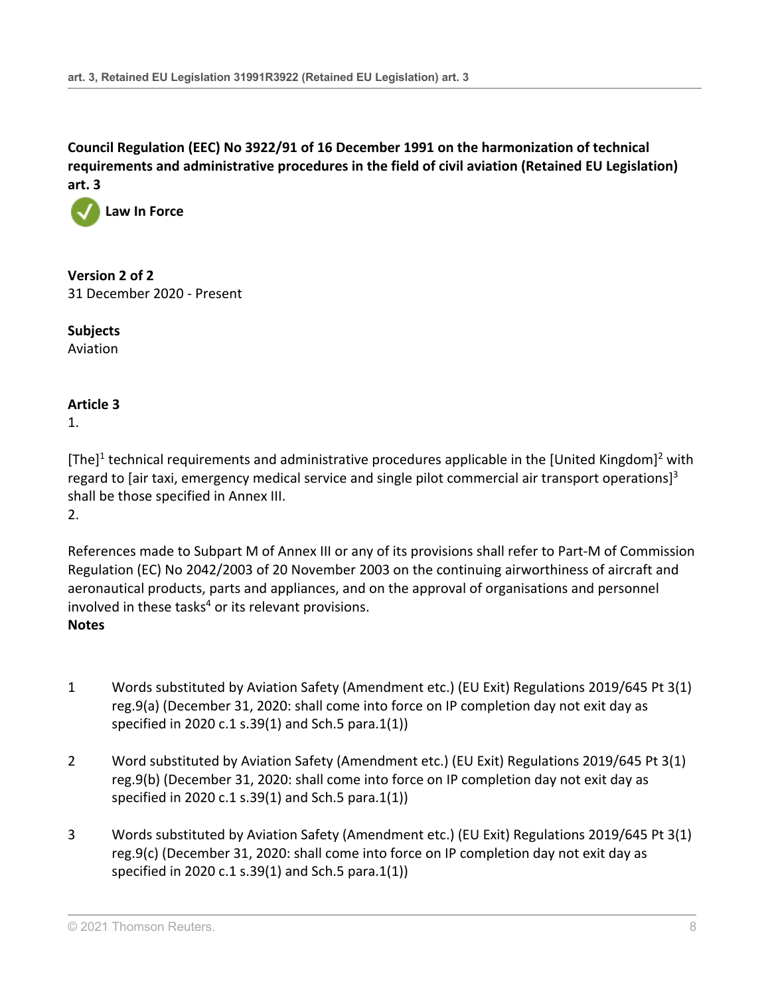

**Version 2 of 2** 31 December 2020 - Present

**Subjects** Aviation

## **Article 3**

1.

[The]<sup>1</sup> technical requirements and administrative procedures applicable in the [United Kingdom]<sup>2</sup> with regard to [air taxi, emergency medical service and single pilot commercial air transport operations]<sup>3</sup> shall be those specified in Annex III.

2.

References made to Subpart M of Annex III or any of its provisions shall refer to Part-M of Commission Regulation (EC) No 2042/2003 of 20 November 2003 on the continuing airworthiness of aircraft and aeronautical products, parts and appliances, and on the approval of organisations and personnel involved in these tasks $4$  or its relevant provisions. **Notes**

- 1 Words substituted by Aviation Safety (Amendment etc.) (EU Exit) Regulations 2019/645 [Pt 3\(1\)](http://uk.westlaw.com/Document/I6BCF3E604D2A11E9A853EC4C52A964EE/View/FullText.html?originationContext=document&transitionType=DocumentItem&vr=3.0&rs=PLUK1.0&contextData=(sc.Search)) [reg.9\(a\)](http://uk.westlaw.com/Document/I6BCF3E604D2A11E9A853EC4C52A964EE/View/FullText.html?originationContext=document&transitionType=DocumentItem&vr=3.0&rs=PLUK1.0&contextData=(sc.Search)) (December 31, 2020: shall come into force on IP completion day not exit day as specified in 2020 c.1 s.39(1) and Sch.5 para.1(1))
- 2 Word substituted by Aviation Safety (Amendment etc.) (EU Exit) Regulations 2019/645 [Pt 3\(1\)](http://uk.westlaw.com/Document/I6BCF3E604D2A11E9A853EC4C52A964EE/View/FullText.html?originationContext=document&transitionType=DocumentItem&vr=3.0&rs=PLUK1.0&contextData=(sc.Search)) [reg.9\(b\)](http://uk.westlaw.com/Document/I6BCF3E604D2A11E9A853EC4C52A964EE/View/FullText.html?originationContext=document&transitionType=DocumentItem&vr=3.0&rs=PLUK1.0&contextData=(sc.Search)) (December 31, 2020: shall come into force on IP completion day not exit day as specified in 2020 c.1 s.39(1) and Sch.5 para.1(1))
- 3 Words substituted by Aviation Safety (Amendment etc.) (EU Exit) Regulations 2019/645 [Pt 3\(1\)](http://uk.westlaw.com/Document/I6BCF3E604D2A11E9A853EC4C52A964EE/View/FullText.html?originationContext=document&transitionType=DocumentItem&vr=3.0&rs=PLUK1.0&contextData=(sc.Search)) [reg.9\(c\)](http://uk.westlaw.com/Document/I6BCF3E604D2A11E9A853EC4C52A964EE/View/FullText.html?originationContext=document&transitionType=DocumentItem&vr=3.0&rs=PLUK1.0&contextData=(sc.Search)) (December 31, 2020: shall come into force on IP completion day not exit day as specified in 2020 c.1 s.39(1) and Sch.5 para.1(1))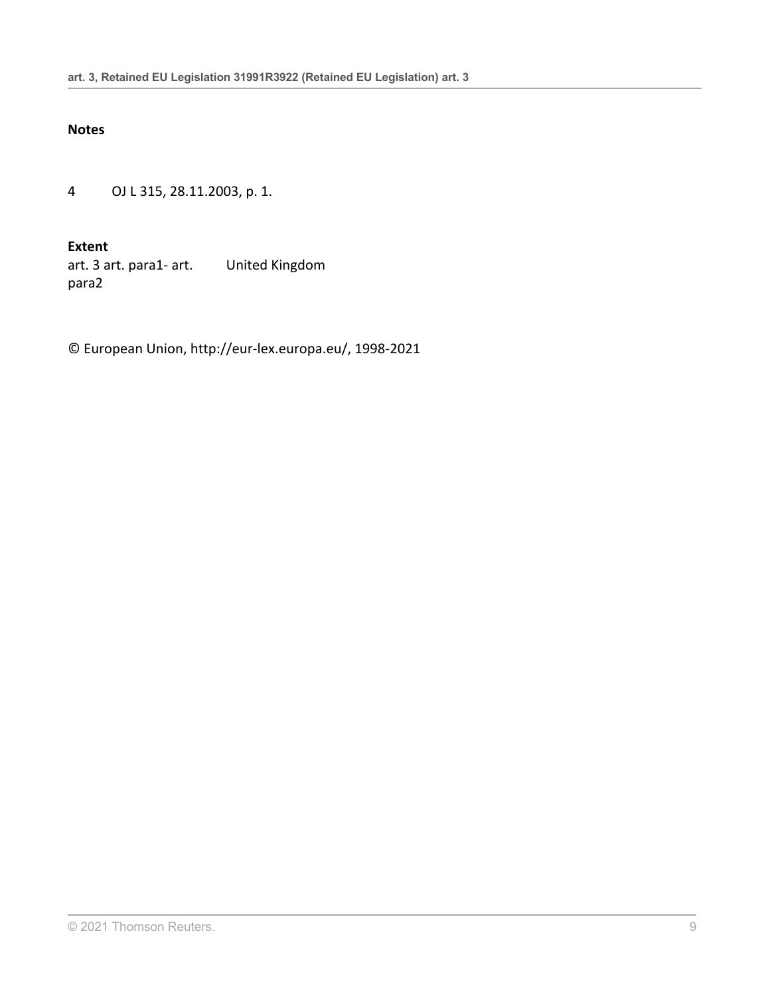#### **Notes**

4 OJ L 315, 28.11.2003, p. 1.

**Extent**

art. 3 art. para1- art. para2 United Kingdom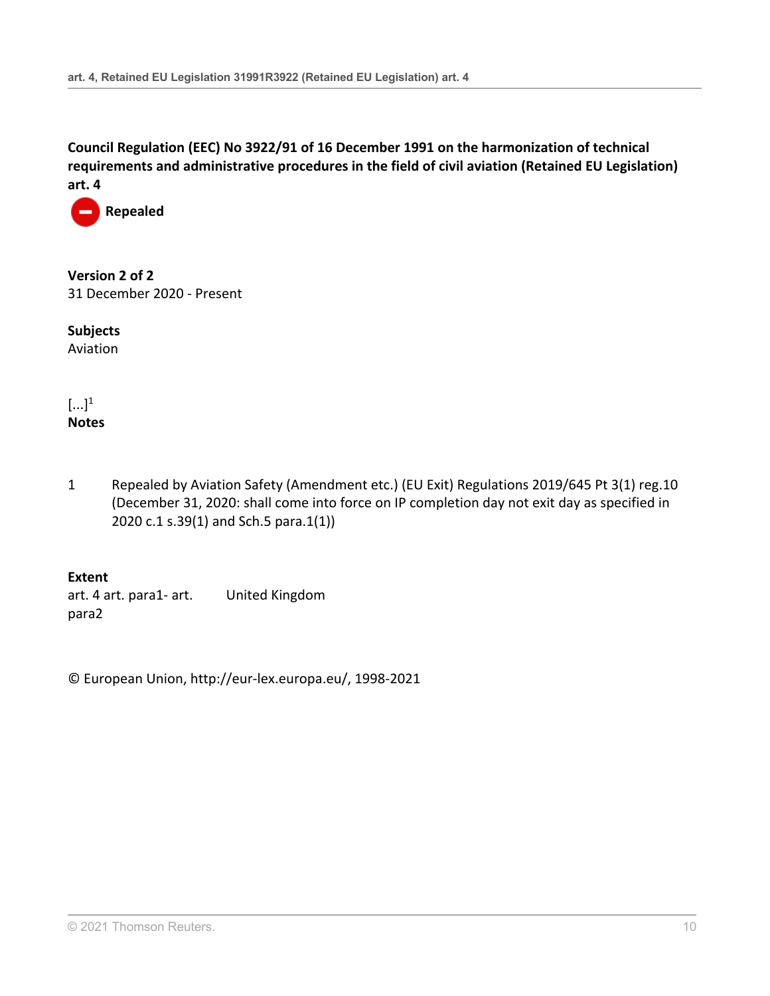

**Version 2 of 2** 31 December 2020 - Present

**Subjects** Aviation

 $\left[\ldots\right]^1$ **Notes**

1 Repealed by Aviation Safety (Amendment etc.) (EU Exit) Regulations 2019/645 [Pt 3\(1\) reg.10](http://uk.westlaw.com/Document/I9BCE89404D2A11E9A853EC4C52A964EE/View/FullText.html?originationContext=document&transitionType=DocumentItem&vr=3.0&rs=PLUK1.0&contextData=(sc.Search)) (December 31, 2020: shall come into force on IP completion day not exit day as specified in 2020 c.1 s.39(1) and Sch.5 para.1(1))

**Extent** art. 4 art. para1- art. para2 United Kingdom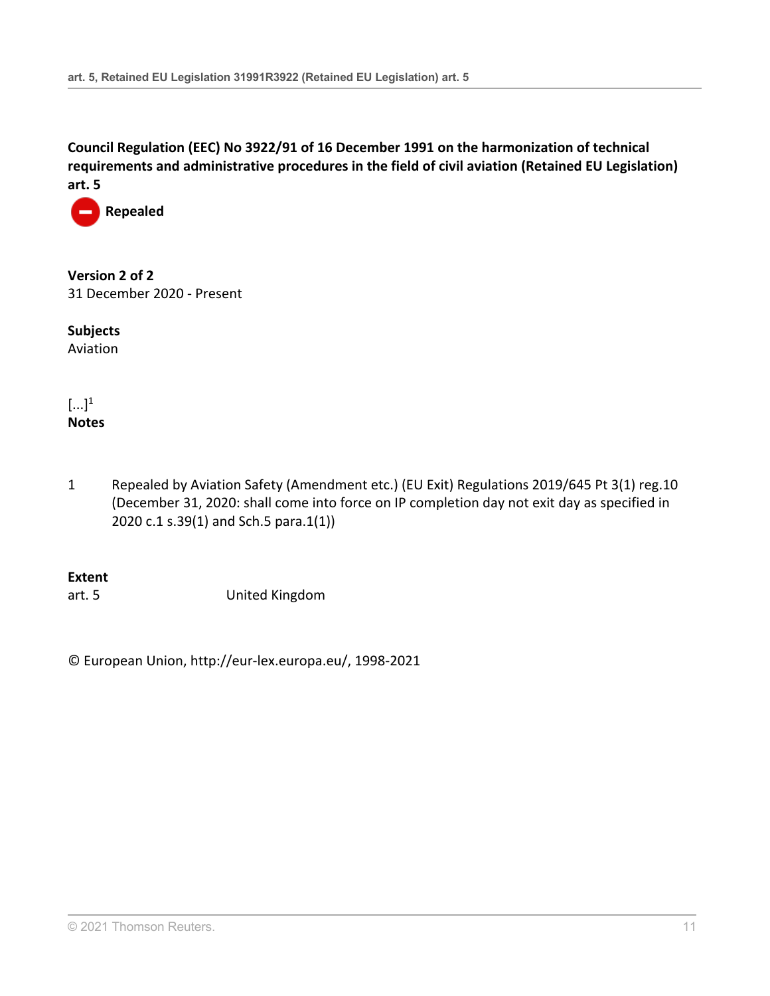

**Version 2 of 2** 31 December 2020 - Present

**Subjects** Aviation

 $\left[\ldots\right]^1$ **Notes**

1 Repealed by Aviation Safety (Amendment etc.) (EU Exit) Regulations 2019/645 [Pt 3\(1\) reg.10](http://uk.westlaw.com/Document/I9BCE89404D2A11E9A853EC4C52A964EE/View/FullText.html?originationContext=document&transitionType=DocumentItem&vr=3.0&rs=PLUK1.0&contextData=(sc.Search)) (December 31, 2020: shall come into force on IP completion day not exit day as specified in 2020 c.1 s.39(1) and Sch.5 para.1(1))

#### **Extent**

art. 5 United Kingdom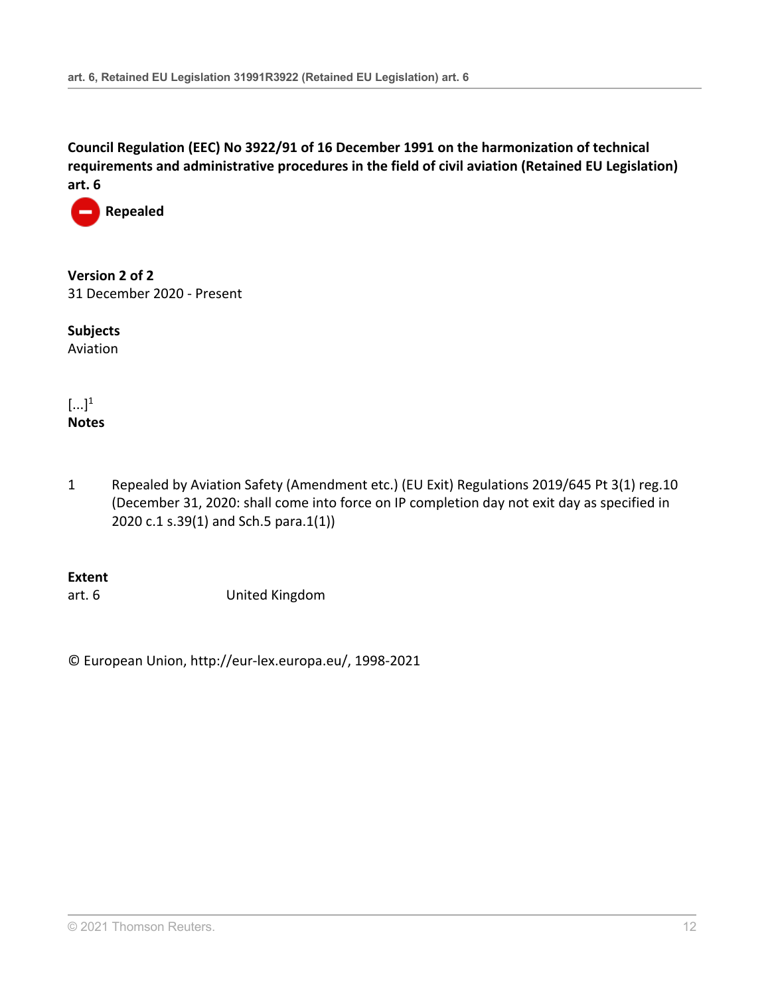

**Version 2 of 2** 31 December 2020 - Present

**Subjects** Aviation

 $\left[\ldots\right]^1$ **Notes**

1 Repealed by Aviation Safety (Amendment etc.) (EU Exit) Regulations 2019/645 [Pt 3\(1\) reg.10](http://uk.westlaw.com/Document/I9BCE89404D2A11E9A853EC4C52A964EE/View/FullText.html?originationContext=document&transitionType=DocumentItem&vr=3.0&rs=PLUK1.0&contextData=(sc.Search)) (December 31, 2020: shall come into force on IP completion day not exit day as specified in 2020 c.1 s.39(1) and Sch.5 para.1(1))

**Extent**

art. 6 United Kingdom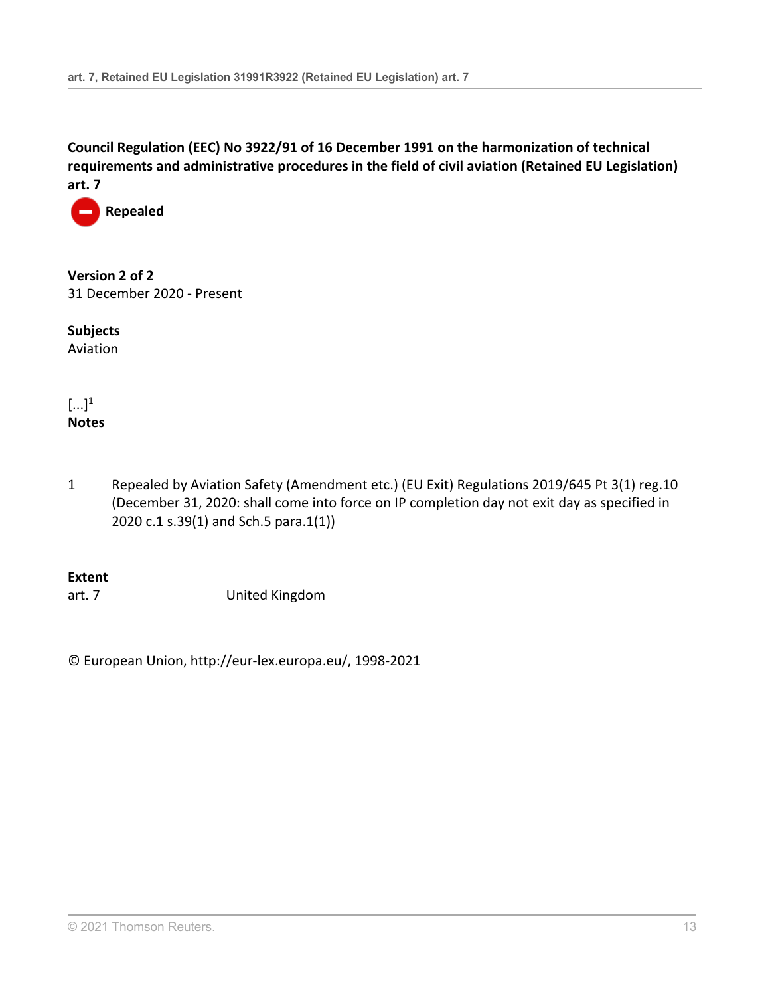

**Version 2 of 2** 31 December 2020 - Present

**Subjects** Aviation

 $\left[\ldots\right]^1$ **Notes**

1 Repealed by Aviation Safety (Amendment etc.) (EU Exit) Regulations 2019/645 [Pt 3\(1\) reg.10](http://uk.westlaw.com/Document/I9BCE89404D2A11E9A853EC4C52A964EE/View/FullText.html?originationContext=document&transitionType=DocumentItem&vr=3.0&rs=PLUK1.0&contextData=(sc.Search)) (December 31, 2020: shall come into force on IP completion day not exit day as specified in 2020 c.1 s.39(1) and Sch.5 para.1(1))

## **Extent**

art. 7 United Kingdom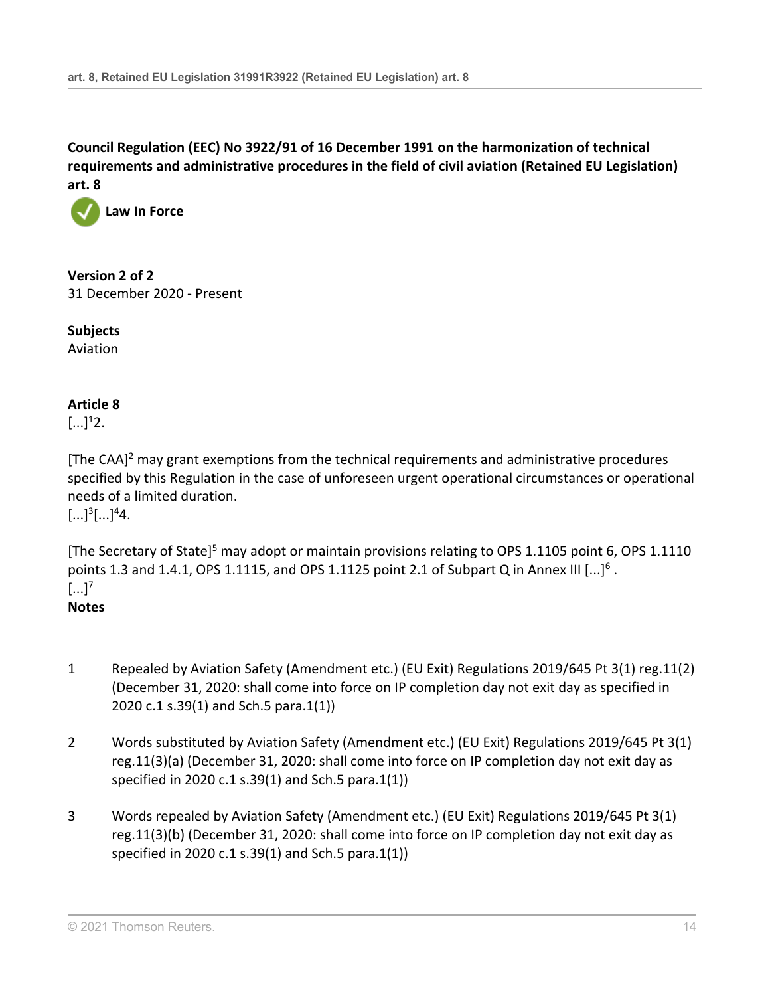

**Version 2 of 2** 31 December 2020 - Present

**Subjects** Aviation

## **Article 8**

 $[...]^{1}2.$ 

[The CAA]2 may grant exemptions from the technical requirements and administrative procedures specified by this Regulation in the case of unforeseen urgent operational circumstances or operational needs of a limited duration.  $[...]^{3}$ [...]<sup>4</sup>4.

[The Secretary of State]<sup>5</sup> may adopt or maintain provisions relating to OPS 1.1105 point 6, OPS 1.1110 points 1.3 and 1.4.1, OPS 1.1115, and OPS 1.1125 point 2.1 of Subpart Q in Annex III  $[...]^6$ .  $\left[\ldots\right]^7$ **Notes**

- 1 Repealed by Aviation Safety (Amendment etc.) (EU Exit) Regulations 2019/645 [Pt 3\(1\) reg.11\(2\)](http://uk.westlaw.com/Document/IDF078D104D2A11E9A853EC4C52A964EE/View/FullText.html?originationContext=document&transitionType=DocumentItem&vr=3.0&rs=PLUK1.0&contextData=(sc.Search)) (December 31, 2020: shall come into force on IP completion day not exit day as specified in 2020 c.1 s.39(1) and Sch.5 para.1(1))
- 2 Words substituted by Aviation Safety (Amendment etc.) (EU Exit) Regulations 2019/645 [Pt 3\(1\)](http://uk.westlaw.com/Document/IDF078D104D2A11E9A853EC4C52A964EE/View/FullText.html?originationContext=document&transitionType=DocumentItem&vr=3.0&rs=PLUK1.0&contextData=(sc.Search)) [reg.11\(3\)\(a\)](http://uk.westlaw.com/Document/IDF078D104D2A11E9A853EC4C52A964EE/View/FullText.html?originationContext=document&transitionType=DocumentItem&vr=3.0&rs=PLUK1.0&contextData=(sc.Search)) (December 31, 2020: shall come into force on IP completion day not exit day as specified in 2020 c.1 s.39(1) and Sch.5 para.1(1))
- 3 Words repealed by Aviation Safety (Amendment etc.) (EU Exit) Regulations 2019/645 [Pt 3\(1\)](http://uk.westlaw.com/Document/IDF078D104D2A11E9A853EC4C52A964EE/View/FullText.html?originationContext=document&transitionType=DocumentItem&vr=3.0&rs=PLUK1.0&contextData=(sc.Search)) [reg.11\(3\)\(b\)](http://uk.westlaw.com/Document/IDF078D104D2A11E9A853EC4C52A964EE/View/FullText.html?originationContext=document&transitionType=DocumentItem&vr=3.0&rs=PLUK1.0&contextData=(sc.Search)) (December 31, 2020: shall come into force on IP completion day not exit day as specified in 2020 c.1 s.39(1) and Sch.5 para.1(1))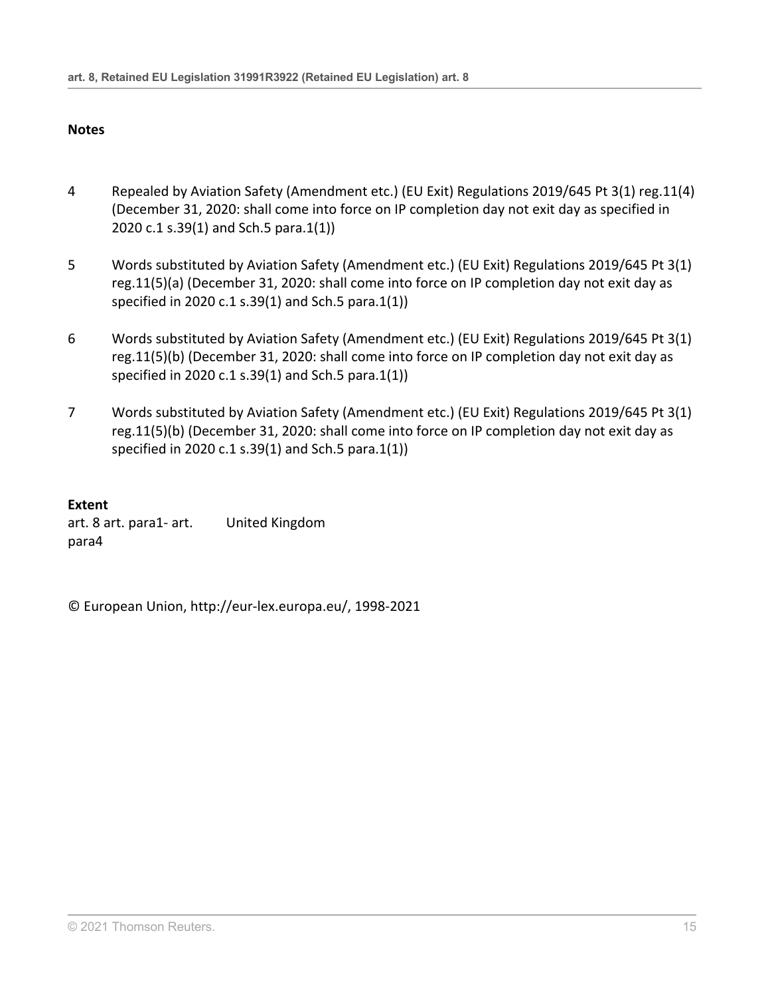### **Notes**

- 4 Repealed by Aviation Safety (Amendment etc.) (EU Exit) Regulations 2019/645 [Pt 3\(1\) reg.11\(4\)](http://uk.westlaw.com/Document/IDF078D104D2A11E9A853EC4C52A964EE/View/FullText.html?originationContext=document&transitionType=DocumentItem&vr=3.0&rs=PLUK1.0&contextData=(sc.Search)) (December 31, 2020: shall come into force on IP completion day not exit day as specified in 2020 c.1 s.39(1) and Sch.5 para.1(1))
- 5 Words substituted by Aviation Safety (Amendment etc.) (EU Exit) Regulations 2019/645 [Pt 3\(1\)](http://uk.westlaw.com/Document/IDF078D104D2A11E9A853EC4C52A964EE/View/FullText.html?originationContext=document&transitionType=DocumentItem&vr=3.0&rs=PLUK1.0&contextData=(sc.Search)) [reg.11\(5\)\(a\)](http://uk.westlaw.com/Document/IDF078D104D2A11E9A853EC4C52A964EE/View/FullText.html?originationContext=document&transitionType=DocumentItem&vr=3.0&rs=PLUK1.0&contextData=(sc.Search)) (December 31, 2020: shall come into force on IP completion day not exit day as specified in 2020 c.1 s.39(1) and Sch.5 para.1(1))
- 6 Words substituted by Aviation Safety (Amendment etc.) (EU Exit) Regulations 2019/645 [Pt 3\(1\)](http://uk.westlaw.com/Document/IDF078D104D2A11E9A853EC4C52A964EE/View/FullText.html?originationContext=document&transitionType=DocumentItem&vr=3.0&rs=PLUK1.0&contextData=(sc.Search)) [reg.11\(5\)\(b\)](http://uk.westlaw.com/Document/IDF078D104D2A11E9A853EC4C52A964EE/View/FullText.html?originationContext=document&transitionType=DocumentItem&vr=3.0&rs=PLUK1.0&contextData=(sc.Search)) (December 31, 2020: shall come into force on IP completion day not exit day as specified in 2020 c.1 s.39(1) and Sch.5 para.1(1))
- 7 Words substituted by Aviation Safety (Amendment etc.) (EU Exit) Regulations 2019/645 [Pt 3\(1\)](http://uk.westlaw.com/Document/IDF078D104D2A11E9A853EC4C52A964EE/View/FullText.html?originationContext=document&transitionType=DocumentItem&vr=3.0&rs=PLUK1.0&contextData=(sc.Search)) [reg.11\(5\)\(b\)](http://uk.westlaw.com/Document/IDF078D104D2A11E9A853EC4C52A964EE/View/FullText.html?originationContext=document&transitionType=DocumentItem&vr=3.0&rs=PLUK1.0&contextData=(sc.Search)) (December 31, 2020: shall come into force on IP completion day not exit day as specified in 2020 c.1 s.39(1) and Sch.5 para.1(1))

## **Extent**

art. 8 art. para1- art. para4 United Kingdom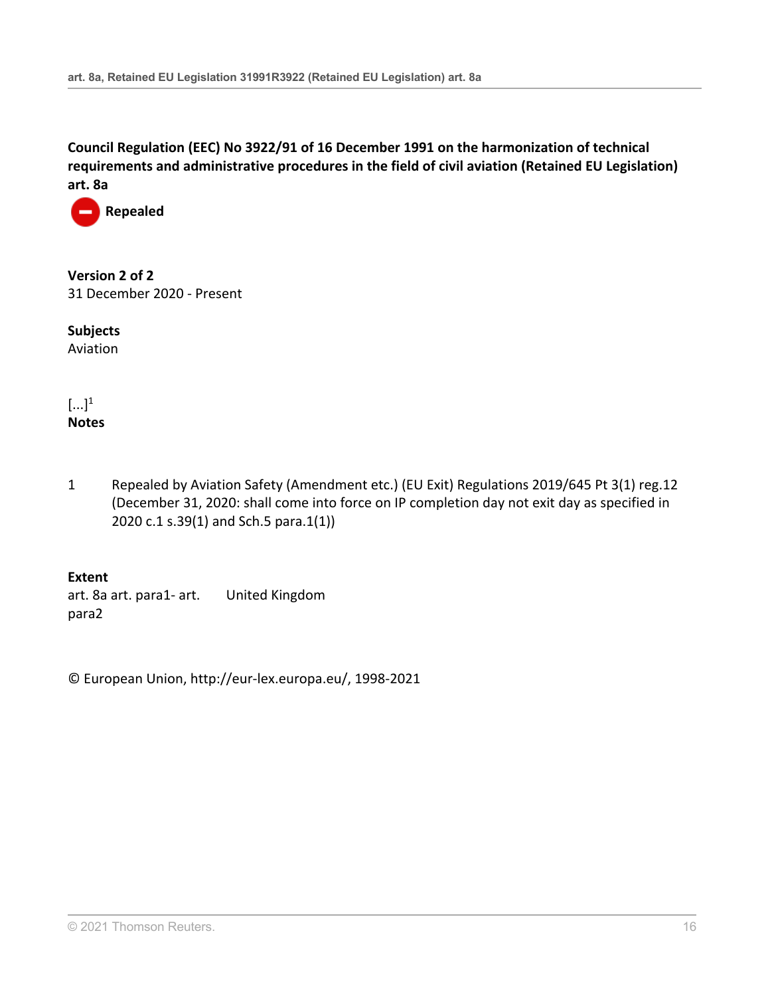

**Version 2 of 2** 31 December 2020 - Present

**Subjects** Aviation

 $\left[\ldots\right]^1$ **Notes**

1 Repealed by Aviation Safety (Amendment etc.) (EU Exit) Regulations 2019/645 [Pt 3\(1\) reg.12](http://uk.westlaw.com/Document/I10E905704D2B11E9A853EC4C52A964EE/View/FullText.html?originationContext=document&transitionType=DocumentItem&vr=3.0&rs=PLUK1.0&contextData=(sc.Search)) (December 31, 2020: shall come into force on IP completion day not exit day as specified in 2020 c.1 s.39(1) and Sch.5 para.1(1))

**Extent** art. 8a art. para1- art. para2 United Kingdom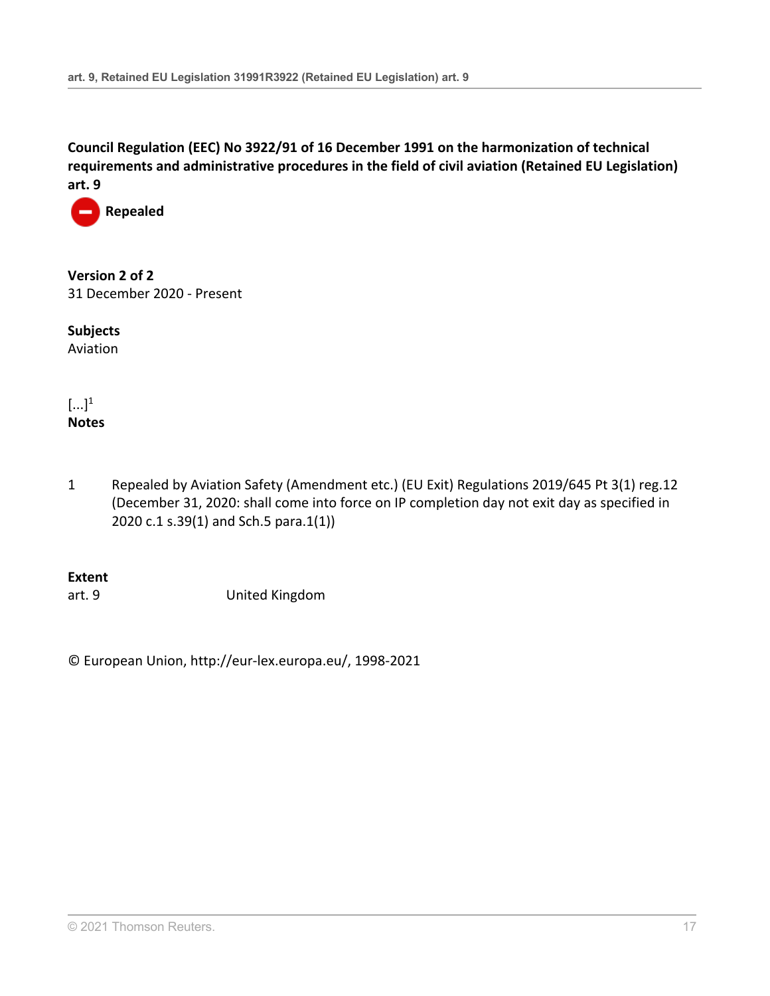

**Version 2 of 2** 31 December 2020 - Present

**Subjects** Aviation

 $\left[\ldots\right]^1$ **Notes**

1 Repealed by Aviation Safety (Amendment etc.) (EU Exit) Regulations 2019/645 [Pt 3\(1\) reg.12](http://uk.westlaw.com/Document/I10E905704D2B11E9A853EC4C52A964EE/View/FullText.html?originationContext=document&transitionType=DocumentItem&vr=3.0&rs=PLUK1.0&contextData=(sc.Search)) (December 31, 2020: shall come into force on IP completion day not exit day as specified in 2020 c.1 s.39(1) and Sch.5 para.1(1))

## **Extent**

art. 9 United Kingdom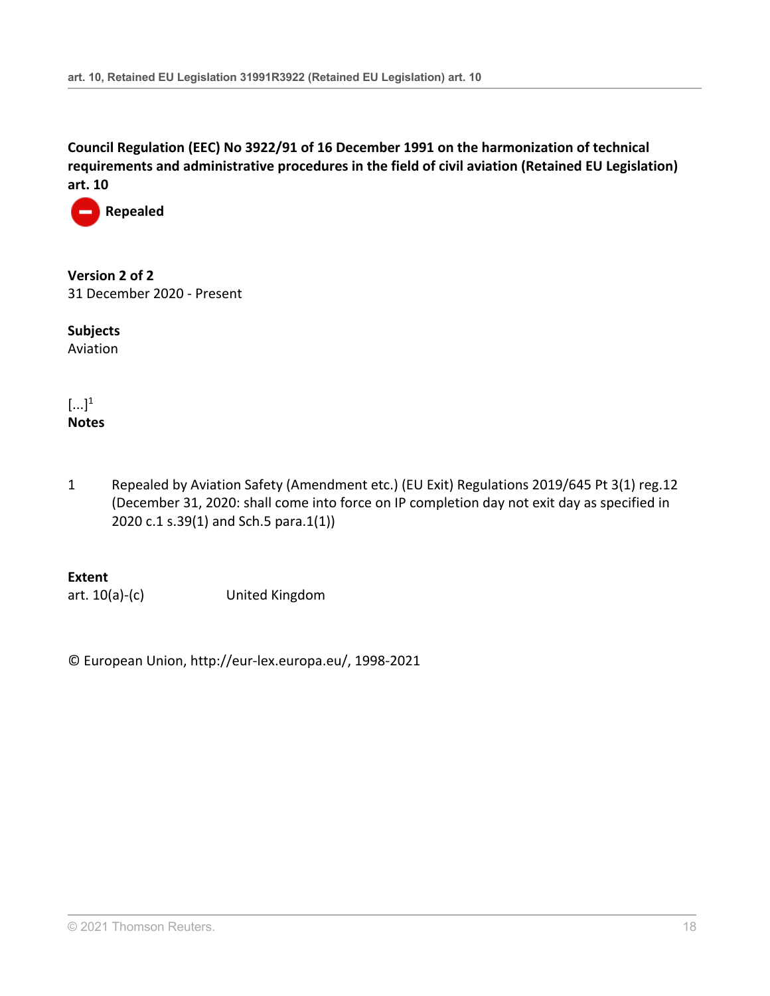

**Version 2 of 2** 31 December 2020 - Present

**Subjects** Aviation

 $\left[\ldots\right]^1$ **Notes**

1 Repealed by Aviation Safety (Amendment etc.) (EU Exit) Regulations 2019/645 [Pt 3\(1\) reg.12](http://uk.westlaw.com/Document/I10E905704D2B11E9A853EC4C52A964EE/View/FullText.html?originationContext=document&transitionType=DocumentItem&vr=3.0&rs=PLUK1.0&contextData=(sc.Search)) (December 31, 2020: shall come into force on IP completion day not exit day as specified in 2020 c.1 s.39(1) and Sch.5 para.1(1))

**Extent**

art. 10(a)-(c) United Kingdom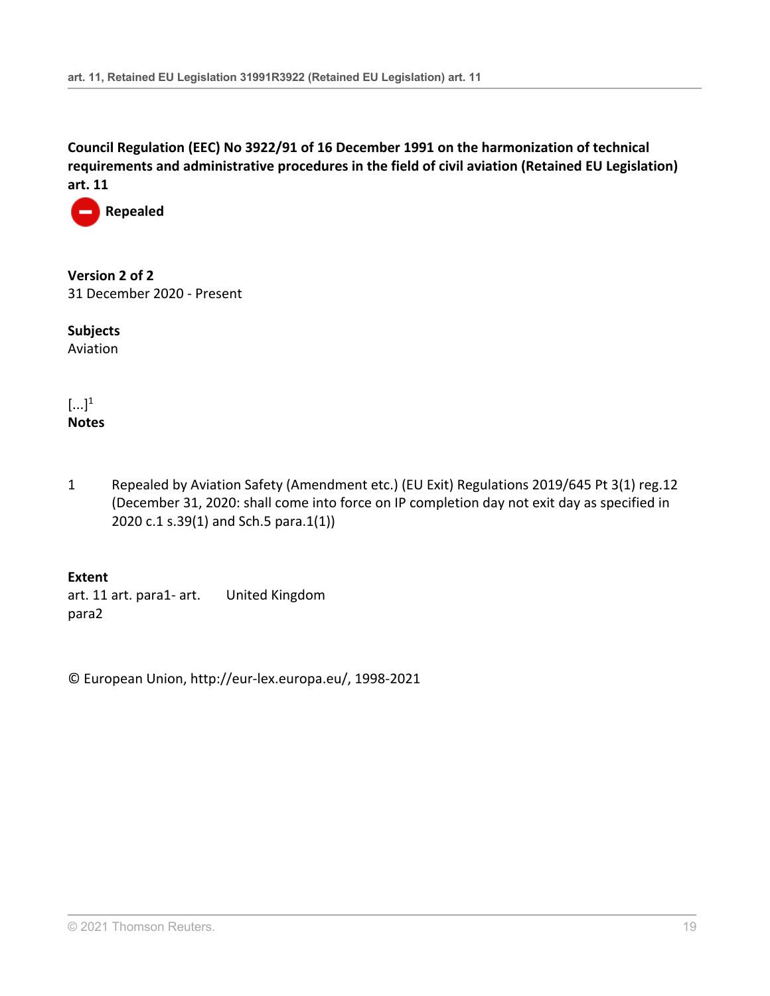

**Version 2 of 2** 31 December 2020 - Present

**Subjects** Aviation

 $\left[\ldots\right]^1$ **Notes**

1 Repealed by Aviation Safety (Amendment etc.) (EU Exit) Regulations 2019/645 [Pt 3\(1\) reg.12](http://uk.westlaw.com/Document/I10E905704D2B11E9A853EC4C52A964EE/View/FullText.html?originationContext=document&transitionType=DocumentItem&vr=3.0&rs=PLUK1.0&contextData=(sc.Search)) (December 31, 2020: shall come into force on IP completion day not exit day as specified in 2020 c.1 s.39(1) and Sch.5 para.1(1))

**Extent** art. 11 art. para1- art. para2 United Kingdom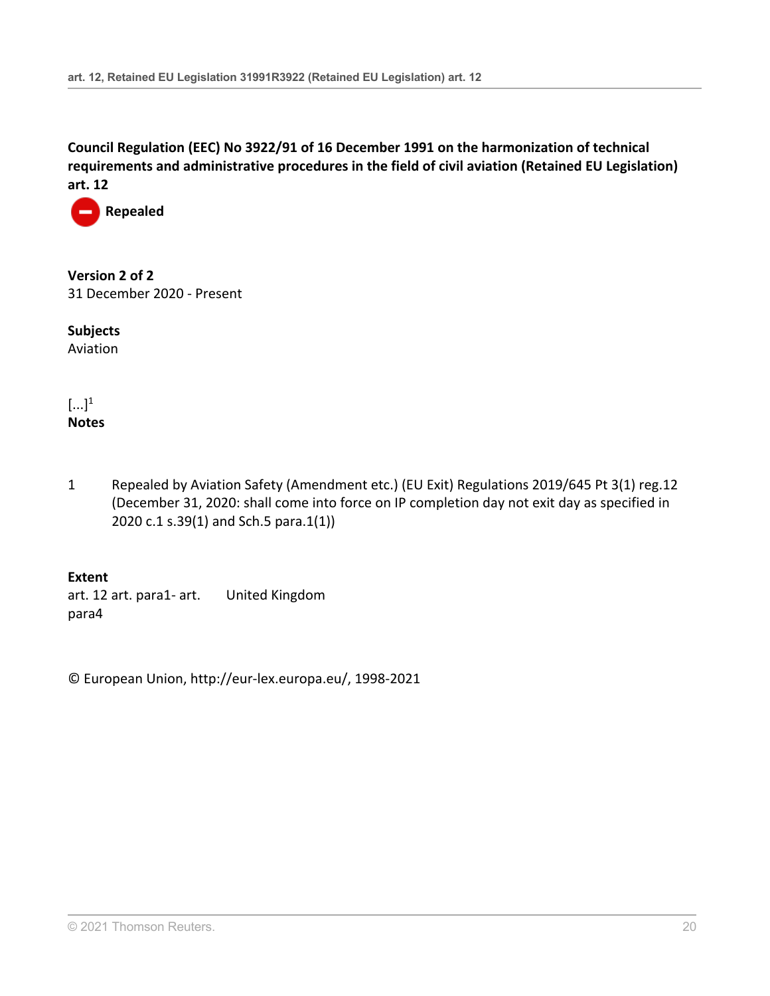

**Version 2 of 2** 31 December 2020 - Present

**Subjects** Aviation

 $\left[\ldots\right]^1$ **Notes**

1 Repealed by Aviation Safety (Amendment etc.) (EU Exit) Regulations 2019/645 [Pt 3\(1\) reg.12](http://uk.westlaw.com/Document/I10E905704D2B11E9A853EC4C52A964EE/View/FullText.html?originationContext=document&transitionType=DocumentItem&vr=3.0&rs=PLUK1.0&contextData=(sc.Search)) (December 31, 2020: shall come into force on IP completion day not exit day as specified in 2020 c.1 s.39(1) and Sch.5 para.1(1))

**Extent** art. 12 art. para1- art. para4 United Kingdom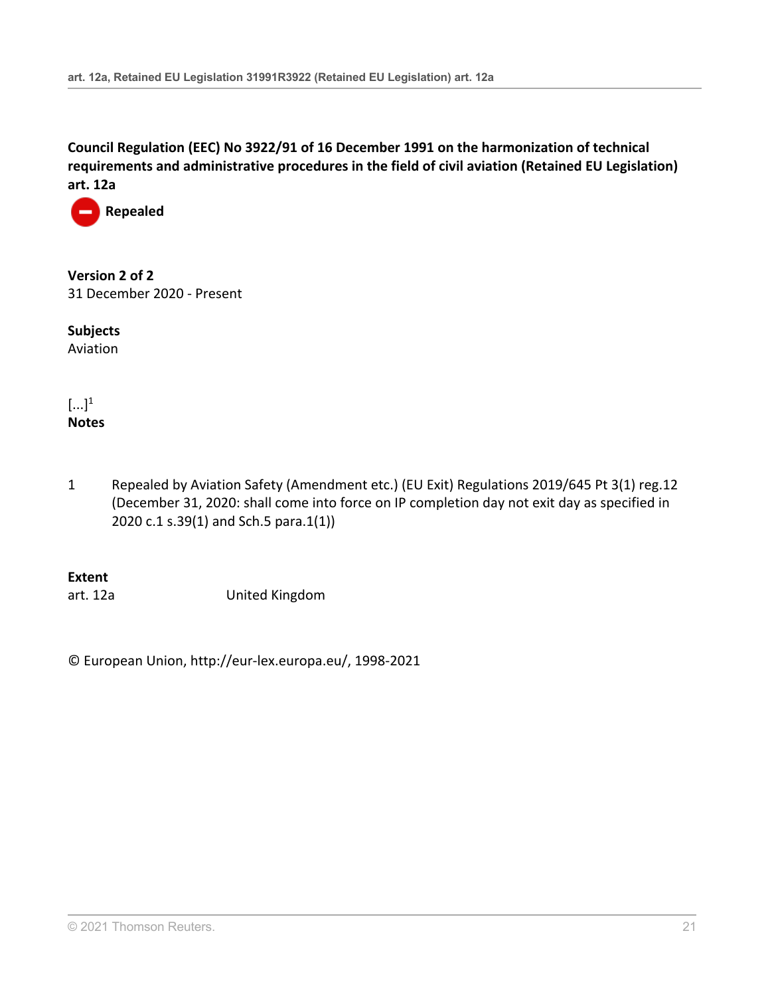

**Version 2 of 2** 31 December 2020 - Present

**Subjects** Aviation

 $\left[\ldots\right]^1$ **Notes**

1 Repealed by Aviation Safety (Amendment etc.) (EU Exit) Regulations 2019/645 [Pt 3\(1\) reg.12](http://uk.westlaw.com/Document/I10E905704D2B11E9A853EC4C52A964EE/View/FullText.html?originationContext=document&transitionType=DocumentItem&vr=3.0&rs=PLUK1.0&contextData=(sc.Search)) (December 31, 2020: shall come into force on IP completion day not exit day as specified in 2020 c.1 s.39(1) and Sch.5 para.1(1))

**Extent**

art. 12a United Kingdom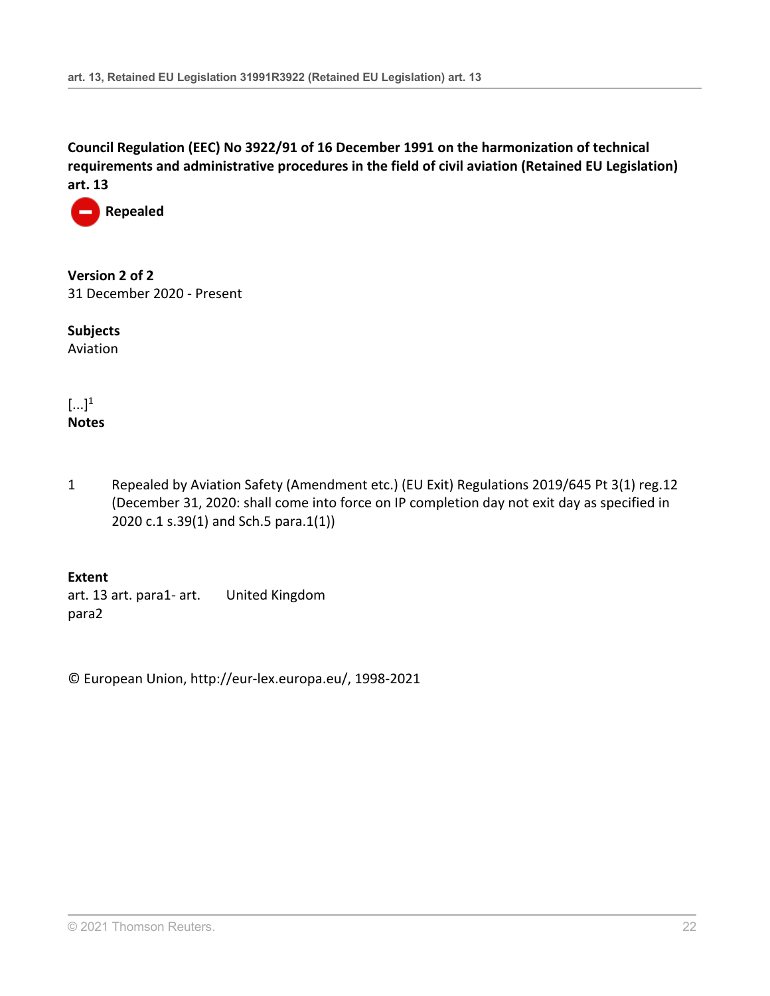

**Version 2 of 2** 31 December 2020 - Present

**Subjects** Aviation

 $\left[\ldots\right]^1$ **Notes**

1 Repealed by Aviation Safety (Amendment etc.) (EU Exit) Regulations 2019/645 [Pt 3\(1\) reg.12](http://uk.westlaw.com/Document/I10E905704D2B11E9A853EC4C52A964EE/View/FullText.html?originationContext=document&transitionType=DocumentItem&vr=3.0&rs=PLUK1.0&contextData=(sc.Search)) (December 31, 2020: shall come into force on IP completion day not exit day as specified in 2020 c.1 s.39(1) and Sch.5 para.1(1))

**Extent** art. 13 art. para1- art. para2 United Kingdom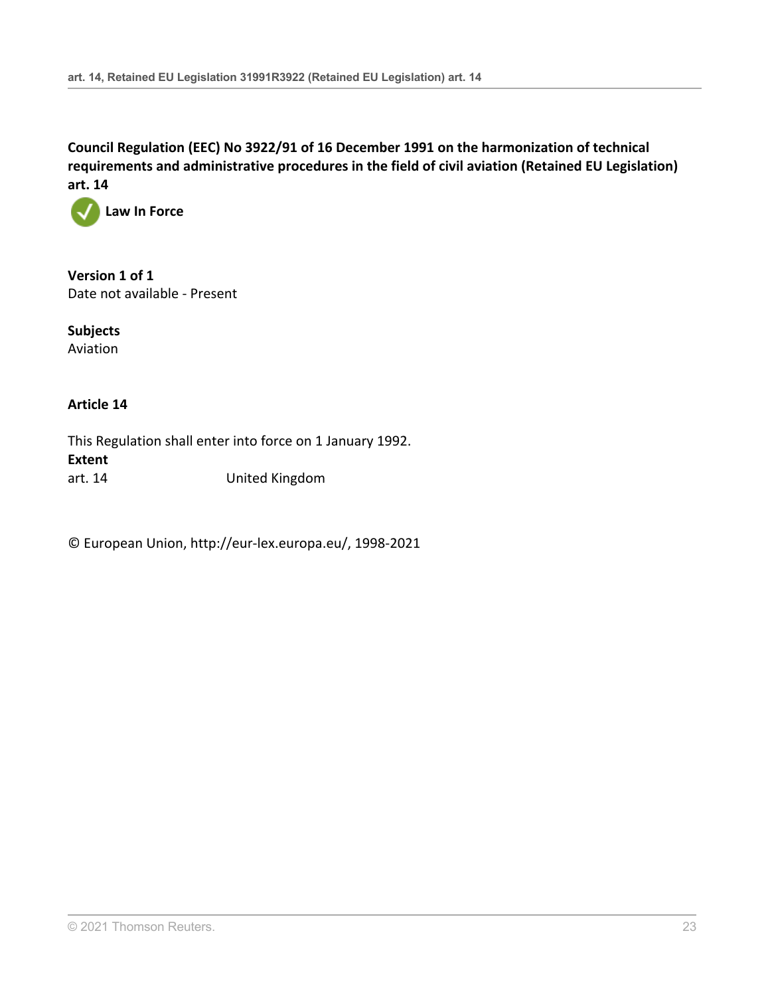

**Version 1 of 1** Date not available - Present

**Subjects** Aviation

## **Article 14**

This Regulation shall enter into force on 1 January 1992. **Extent** art. 14 United Kingdom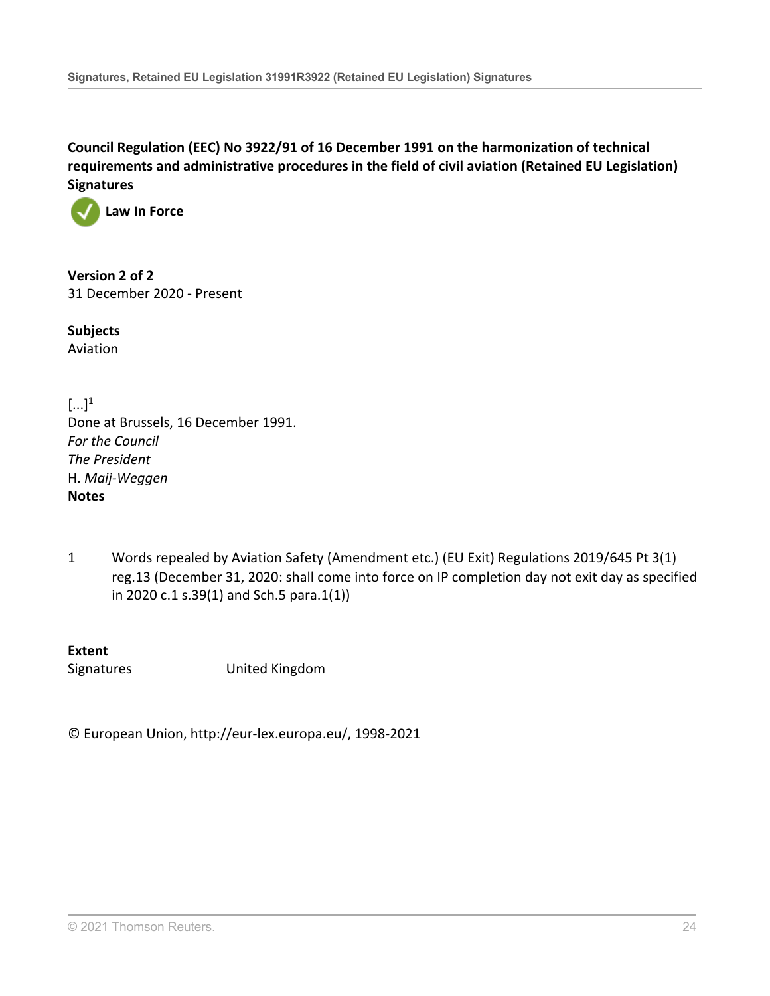

**Version 2 of 2** 31 December 2020 - Present

**Subjects** Aviation

 $[\dots]^1$ Done at Brussels, 16 December 1991. *For the Council The President* H. *Maij-Weggen* **Notes**

1 Words repealed by Aviation Safety (Amendment etc.) (EU Exit) Regulations 2019/645 [Pt 3\(1\)](http://uk.westlaw.com/Document/IDA99ABA04D2A11E9A853EC4C52A964EE/View/FullText.html?originationContext=document&transitionType=DocumentItem&vr=3.0&rs=PLUK1.0&contextData=(sc.Search)) [reg.13](http://uk.westlaw.com/Document/IDA99ABA04D2A11E9A853EC4C52A964EE/View/FullText.html?originationContext=document&transitionType=DocumentItem&vr=3.0&rs=PLUK1.0&contextData=(sc.Search)) (December 31, 2020: shall come into force on IP completion day not exit day as specified in 2020 c.1 s.39(1) and Sch.5 para.1(1))

**Extent** Signatures United Kingdom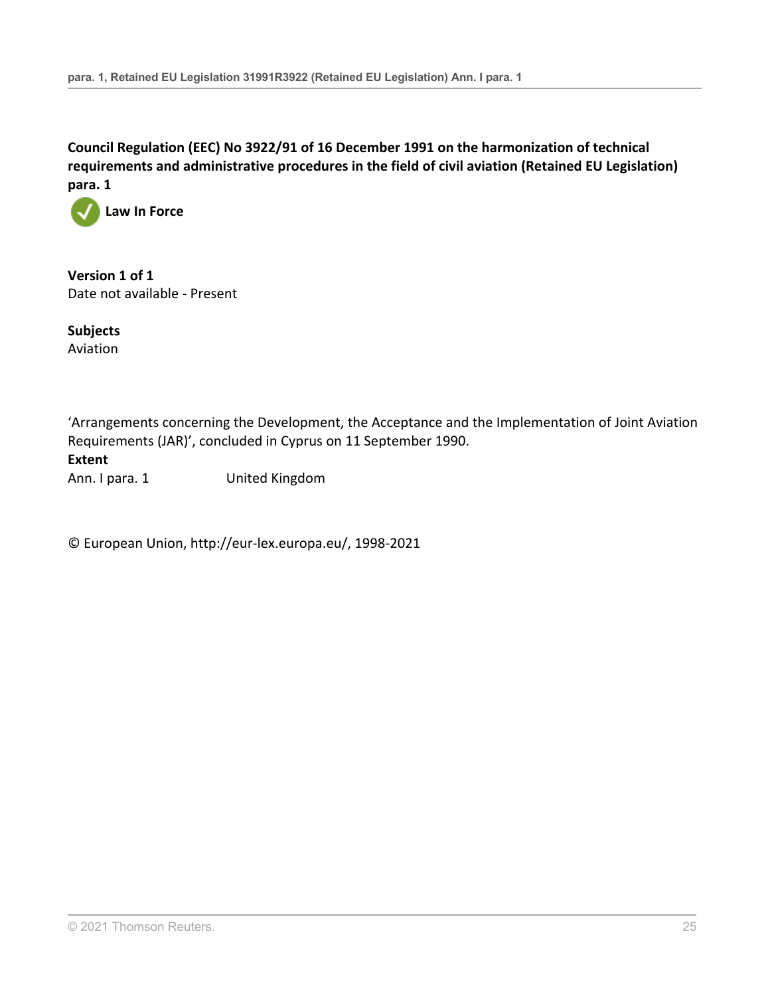

**Version 1 of 1** Date not available - Present

**Subjects** Aviation

'Arrangements concerning the Development, the Acceptance and the Implementation of Joint Aviation Requirements (JAR)', concluded in Cyprus on 11 September 1990. **Extent** Ann. I para. 1 United Kingdom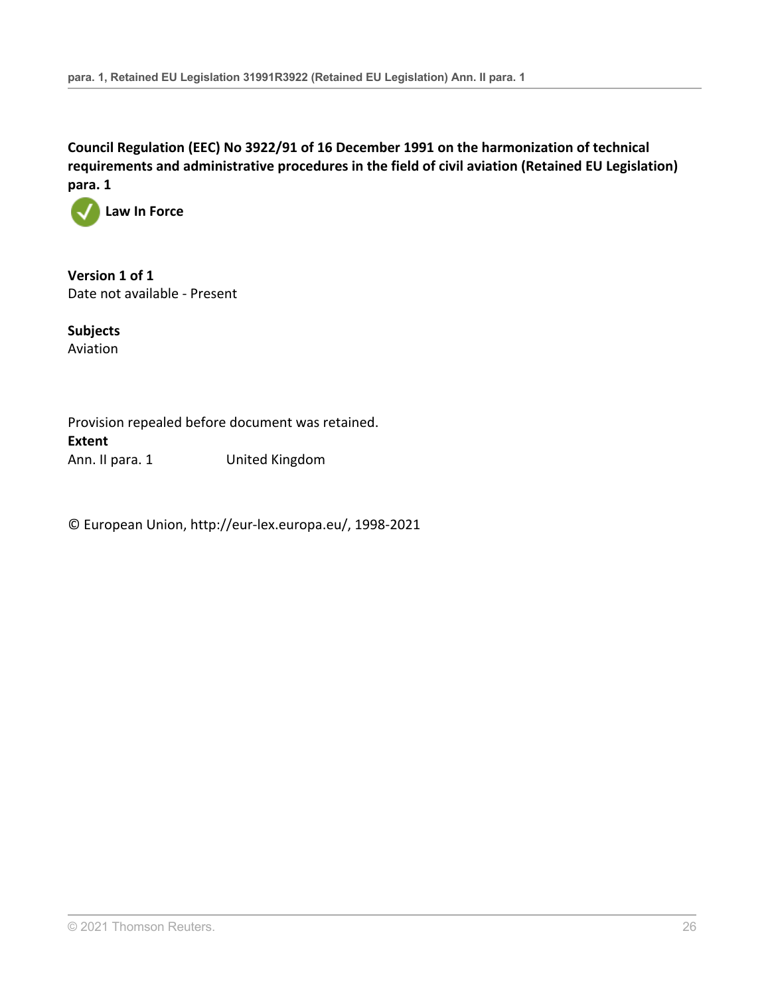

**Version 1 of 1** Date not available - Present

**Subjects** Aviation

Provision repealed before document was retained. **Extent** Ann. II para. 1 United Kingdom